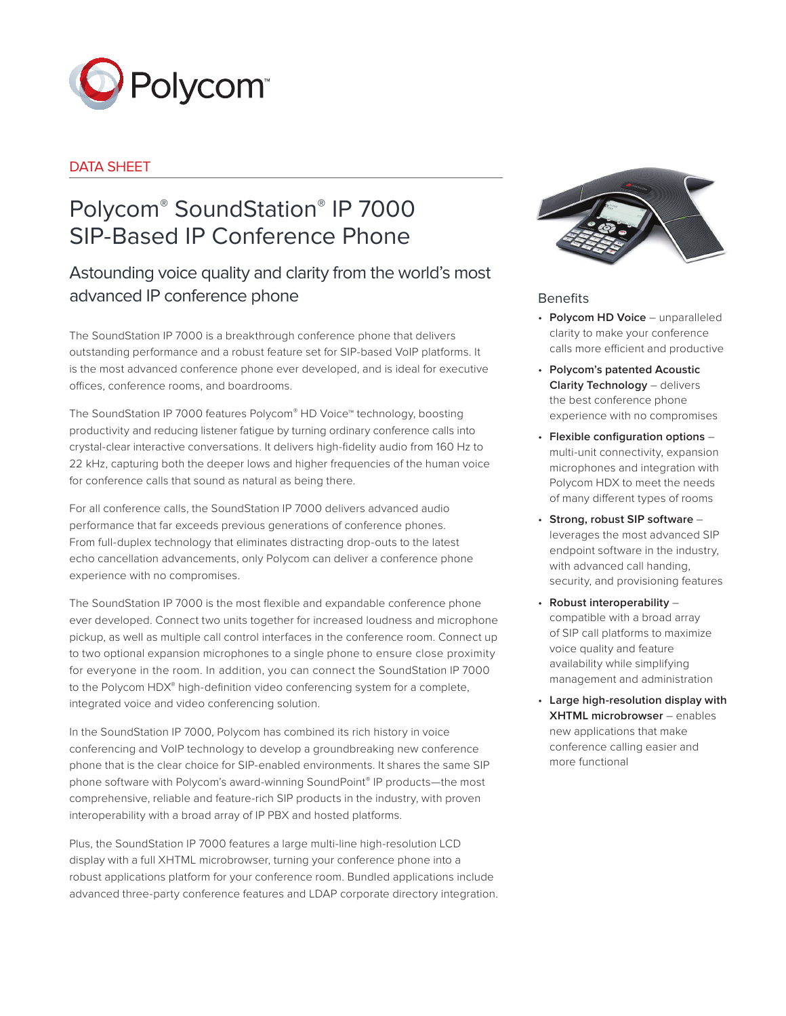

# DATA SHEFT

# Polycom® SoundStation® IP 7000 SIP-Based IP Conference Phone

# Astounding voice quality and clarity from the world's most advanced IP conference phone

The SoundStation IP 7000 is a breakthrough conference phone that delivers outstanding performance and a robust feature set for SIP-based VoIP platforms. It is the most advanced conference phone ever developed, and is ideal for executive offices, conference rooms, and boardrooms.

The SoundStation IP 7000 features Polycom® HD Voice™ technology, boosting productivity and reducing listener fatigue by turning ordinary conference calls into crystal-clear interactive conversations. It delivers high-fidelity audio from 160 Hz to 22 kHz, capturing both the deeper lows and higher frequencies of the human voice for conference calls that sound as natural as being there.

For all conference calls, the SoundStation IP 7000 delivers advanced audio performance that far exceeds previous generations of conference phones. From full-duplex technology that eliminates distracting drop-outs to the latest echo cancellation advancements, only Polycom can deliver a conference phone experience with no compromises.

The SoundStation IP 7000 is the most flexible and expandable conference phone ever developed. Connect two units together for increased loudness and microphone pickup, as well as multiple call control interfaces in the conference room. Connect up to two optional expansion microphones to a single phone to ensure close proximity for everyone in the room. In addition, you can connect the SoundStation IP 7000 to the Polycom HDX® high-definition video conferencing system for a complete, integrated voice and video conferencing solution.

In the SoundStation IP 7000, Polycom has combined its rich history in voice conferencing and VoIP technology to develop a groundbreaking new conference phone that is the clear choice for SIP-enabled environments. It shares the same SIP phone software with Polycom's award-winning SoundPoint® IP products—the most comprehensive, reliable and feature-rich SIP products in the industry, with proven interoperability with a broad array of IP PBX and hosted platforms.

Plus, the SoundStation IP 7000 features a large multi-line high-resolution LCD display with a full XHTML microbrowser, turning your conference phone into a robust applications platform for your conference room. Bundled applications include advanced three-party conference features and LDAP corporate directory integration.



## **Benefits**

- • **Polycom HD Voice** unparalleled clarity to make your conference calls more efficient and productive
- • **Polycom's patented Acoustic Clarity Technology** – delivers the best conference phone experience with no compromises
- • **Flexible configuration options** multi-unit connectivity, expansion microphones and integration with Polycom HDX to meet the needs of many different types of rooms
- • **Strong, robust SIP software** leverages the most advanced SIP endpoint software in the industry, with advanced call handing, security, and provisioning features
- • **Robust interoperability** compatible with a broad array of SIP call platforms to maximize voice quality and feature availability while simplifying management and administration
- • **Large high-resolution display with XHTML microbrowser** – enables new applications that make conference calling easier and more functional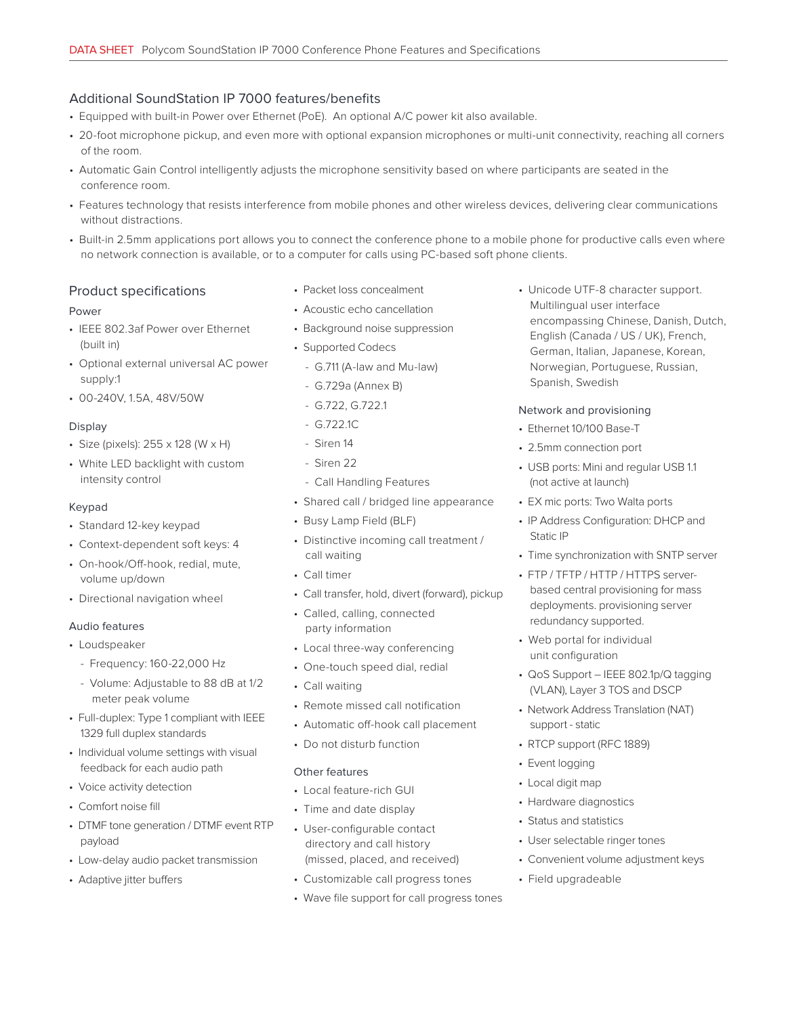# Additional SoundStation IP 7000 features/benefits

- Equipped with built-in Power over Ethernet (PoE). An optional A/C power kit also available.
- 20-foot microphone pickup, and even more with optional expansion microphones or multi-unit connectivity, reaching all corners of the room.
- Automatic Gain Control intelligently adjusts the microphone sensitivity based on where participants are seated in the conference room.
- Features technology that resists interference from mobile phones and other wireless devices, delivering clear communications without distractions.
- Built-in 2.5mm applications port allows you to connect the conference phone to a mobile phone for productive calls even where no network connection is available, or to a computer for calls using PC-based soft phone clients.

#### Product specifications

#### Power

- IEEE 802.3af Power over Ethernet (built in)
- Optional external universal AC power supply:1
- 00-240V, 1.5A, 48V/50W

#### Display

- Size (pixels): 255 x 128 (W x H)
- White LED backlight with custom intensity control

#### Keypad

- Standard 12-key keypad
- Context-dependent soft keys: 4
- On-hook/Off-hook, redial, mute, volume up/down
- Directional navigation wheel

#### Audio features

- Loudspeaker
	- Frequency: 160-22,000 Hz
	- Volume: Adjustable to 88 dB at 1/2 meter peak volume
- Full-duplex: Type 1 compliant with IEEE 1329 full duplex standards
- Individual volume settings with visual feedback for each audio path
- Voice activity detection
- Comfort noise fill
- DTMF tone generation / DTMF event RTP payload
- Low-delay audio packet transmission
- Adaptive jitter buffers
- Packet loss concealment
- Acoustic echo cancellation
- Background noise suppression
- Supported Codecs
	- G.711 (A-law and Mu-law)
	- G.729a (Annex B)
	- G.722, G.722.1
	- G.722.1C
	- Siren 14
	- Siren 22
	- Call Handling Features
- Shared call / bridged line appearance
- Busy Lamp Field (BLF)
- Distinctive incoming call treatment / call waiting
- Call timer
- Call transfer, hold, divert (forward), pickup
- Called, calling, connected party information
- Local three-way conferencing
- One-touch speed dial, redial
- Call waiting
- Remote missed call notification
- Automatic off-hook call placement
- Do not disturb function

#### Other features

- Local feature-rich GUI
- Time and date display
- User-configurable contact directory and call history (missed, placed, and received)
- Customizable call progress tones
- Wave file support for call progress tones

• Unicode UTF-8 character support. Multilingual user interface encompassing Chinese, Danish, Dutch, English (Canada / US / UK), French, German, Italian, Japanese, Korean, Norwegian, Portuguese, Russian, Spanish, Swedish

#### Network and provisioning

- Ethernet 10/100 Base-T
- 2.5mm connection port
- USB ports: Mini and regular USB 1.1 (not active at launch)
- EX mic ports: Two Walta ports
- IP Address Configuration: DHCP and Static IP
- Time synchronization with SNTP server
- FTP / TFTP / HTTP / HTTPS serverbased central provisioning for mass deployments. provisioning server redundancy supported.
- Web portal for individual unit configuration
- QoS Support IEEE 802.1p/Q tagging (VLAN), Layer 3 TOS and DSCP
- Network Address Translation (NAT) support - static
- RTCP support (RFC 1889)
- Event logging
- Local digit map
- Hardware diagnostics
- Status and statistics
- User selectable ringer tones
- Convenient volume adjustment keys
- Field upgradeable